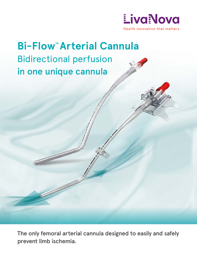

# **Bi-Flow™ Arterial Cannula** Bidirectional perfusion in one unique cannula

The only femoral arterial cannula designed to easily and safely prevent limb ischemia.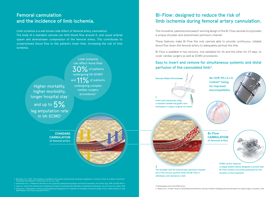Limb ischemia is a well known side effect of femoral artery cannulation. The body of a standard cannula can limit blood flow around it, and cause arterial spasm and downstream compression of the femoral artery. This contributes to compromised blood flow to the patient's lower limb, increasing the risk of limb ischemia.

### Femoral cannulation and the incidence of limb ischemia.

## Bi-Flow: designed to reduce the risk of limb ischemia during femoral artery cannulation.

No-DOP, PH.I.S.I.O. Coated\* tubing for improved biocompatibility.



**1** Insert percutaneously using a standard needle and guide-wire technique or using a surgical cut-down.

**Vascular Dilator Kit included**





5. Marasco et al., A Phase 1 Study of a Novel Bidirectional Perfusion Cannula in Patients Undergoing Femoral Cannulation for Cardiac Surgery, Innovations, 2018 *\*Coating applies only for the ECMO version*

1. Bonicolini et al., 2019, 'Limb ischemia in peripheral veno-arterial extracorporeal membrane oxygenation: A narrative review of incidence, prevention, monitoring, and treatment', Critical Care, vol. 23, no. 1, 266

#### Easy to insert and remove for simultaneous systemic and distal perfusion of the cannulated limb<sup>5</sup>.

Higher mortality, higher morbidity, longer hospital stay<sup>3</sup>

and up to  $5\%$ leg amputation rate in VA-ECMO<sup>4</sup>

can affect more than  $30\%$  of patients undergoing VA-ECMO<sup>1</sup> and 11% of patients undergoing complex cardiac surgery procedures<sup>2</sup>

2. Hendrickson et al., A Method for Perfusion of the Leg During Cardiopulmonary Bypass via Femoral Cannulation, Ann Thorac Surg. 1998 Jun;65(6):1807-8 3. June et al., Acute Limb Ischemia After Cardiothoracic Surgery Is Associated With High Rates of Amputation and Mortality, Journal of Vascular surgery, 2015

4. Cheng et al., Complications of Extracorporeal Membrane Oxygenation for Treatment of Cardiogenic Shock and Cardiac Arrest: A Meta-Analysis of 1,866 Adult Patients., Ann Thorac Surg 2014;97:610–6

ECMO version features a unique fixation device designed to ensure that Bi-Flow remains correctly positioned for the duration of the treatment.

The innovative, patented and award-winning design of the Bi-Flow cannula incorporates a unique shoulder and downstream perfusion channel.

These features make Bi-Flow the only cannula able to provide continuous, reliable blood flow down the femoral artery to adequately perfuse the limb.

Bi-Flow is available in two versions, one validated for 6h and the other for 29 days, to cover cardiac surgery as well as ECMO procedures.





**STANDARD CANNULATION** of femoral artery Limb ischemia

**2**

The shoulder and the downstream perfusion channel are in the correct position when the Bi-Flow is withdrawn and resistance is felt.